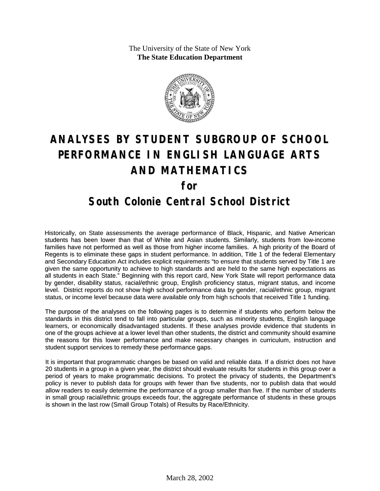The University of the State of New York **The State Education Department**



# **ANALYSES BY STUDENT SUBGROUP OF SCHOOL PERFORMANCE IN ENGLISH LANGUAGE ARTS AND MATHEMATICS for South Colonie Central School District**

Historically, on State assessments the average performance of Black, Hispanic, and Native American students has been lower than that of White and Asian students. Similarly, students from low-income families have not performed as well as those from higher income families. A high priority of the Board of Regents is to eliminate these gaps in student performance. In addition, Title 1 of the federal Elementary and Secondary Education Act includes explicit requirements "to ensure that students served by Title 1 are given the same opportunity to achieve to high standards and are held to the same high expectations as all students in each State." Beginning with this report card, New York State will report performance data by gender, disability status, racial/ethnic group, English proficiency status, migrant status, and income level. District reports do not show high school performance data by gender, racial/ethnic group, migrant status, or income level because data were available only from high schools that received Title 1 funding.

The purpose of the analyses on the following pages is to determine if students who perform below the standards in this district tend to fall into particular groups, such as minority students, English language learners, or economically disadvantaged students. If these analyses provide evidence that students in one of the groups achieve at a lower level than other students, the district and community should examine the reasons for this lower performance and make necessary changes in curriculum, instruction and student support services to remedy these performance gaps.

It is important that programmatic changes be based on valid and reliable data. If a district does not have 20 students in a group in a given year, the district should evaluate results for students in this group over a period of years to make programmatic decisions. To protect the privacy of students, the Department's policy is never to publish data for groups with fewer than five students, nor to publish data that would allow readers to easily determine the performance of a group smaller than five. If the number of students in small group racial/ethnic groups exceeds four, the aggregate performance of students in these groups is shown in the last row (Small Group Totals) of Results by Race/Ethnicity.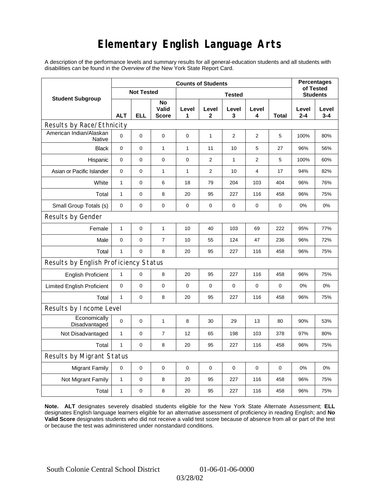## **Elementary English Language Arts**

A description of the performance levels and summary results for all general-education students and all students with disabilities can be found in the *Overview* of the New York State Report Card.

|                                       | <b>Counts of Students</b> |                   |                             |             |                |                 |             |             |                  | <b>Percentages</b><br>of Tested |  |
|---------------------------------------|---------------------------|-------------------|-----------------------------|-------------|----------------|-----------------|-------------|-------------|------------------|---------------------------------|--|
| <b>Student Subgroup</b>               |                           | <b>Not Tested</b> |                             |             |                | <b>Students</b> |             |             |                  |                                 |  |
|                                       | <b>ALT</b>                | <b>ELL</b>        | No<br>Valid<br><b>Score</b> | Level<br>1  | Level<br>2     | Level<br>3      | Level<br>4  | Total       | Level<br>$2 - 4$ | Level<br>$3 - 4$                |  |
| Results by Race/Ethnicity             |                           |                   |                             |             |                |                 |             |             |                  |                                 |  |
| American Indian/Alaskan<br>Native     | $\mathbf 0$               | 0                 | $\mathbf 0$                 | $\mathbf 0$ | $\mathbf{1}$   | 2               | 2           | 5           | 100%             | 80%                             |  |
| <b>Black</b>                          | 0                         | 0                 | $\mathbf{1}$                | 1           | 11             | 10              | 5           | 27          | 96%              | 56%                             |  |
| Hispanic                              | 0                         | 0                 | 0                           | 0           | 2              | 1               | 2           | 5           | 100%             | 60%                             |  |
| Asian or Pacific Islander             | $\mathbf 0$               | 0                 | $\mathbf{1}$                | 1           | $\overline{2}$ | 10              | 4           | 17          | 94%              | 82%                             |  |
| White                                 | $\mathbf{1}$              | 0                 | 6                           | 18          | 79             | 204             | 103         | 404         | 96%              | 76%                             |  |
| Total                                 | $\mathbf{1}$              | 0                 | 8                           | 20          | 95             | 227             | 116         | 458         | 96%              | 75%                             |  |
| Small Group Totals (s)                | 0                         | 0                 | $\pmb{0}$                   | $\pmb{0}$   | 0              | $\mathbf 0$     | 0           | 0           | 0%               | 0%                              |  |
| Results by Gender                     |                           |                   |                             |             |                |                 |             |             |                  |                                 |  |
| Female                                | $\mathbf{1}$              | 0                 | $\mathbf{1}$                | 10          | 40             | 103             | 69          | 222         | 95%              | 77%                             |  |
| Male                                  | 0                         | 0                 | 7                           | 10          | 55             | 124             | 47          | 236         | 96%              | 72%                             |  |
| Total                                 | $\mathbf{1}$              | 0                 | 8                           | 20          | 95             | 227             | 116         | 458         | 96%              | 75%                             |  |
| Results by English Proficiency Status |                           |                   |                             |             |                |                 |             |             |                  |                                 |  |
| <b>English Proficient</b>             | $\mathbf{1}$              | 0                 | 8                           | 20          | 95             | 227             | 116         | 458         | 96%              | 75%                             |  |
| <b>Limited English Proficient</b>     | 0                         | 0                 | $\mathbf 0$                 | $\mathbf 0$ | $\mathbf 0$    | $\mathbf 0$     | $\mathbf 0$ | $\mathbf 0$ | 0%               | 0%                              |  |
| Total                                 | $\mathbf{1}$              | 0                 | 8                           | 20          | 95             | 227             | 116         | 458         | 96%              | 75%                             |  |
| Results by Income Level               |                           |                   |                             |             |                |                 |             |             |                  |                                 |  |
| Economically<br>Disadvantaged         | $\mathbf 0$               | 0                 | $\mathbf{1}$                | 8           | 30             | 29              | 13          | 80          | 90%              | 53%                             |  |
| Not Disadvantaged                     | $\mathbf{1}$              | 0                 | $\overline{7}$              | 12          | 65             | 198             | 103         | 378         | 97%              | 80%                             |  |
| Total                                 | $\mathbf{1}$              | 0                 | 8                           | 20          | 95             | 227             | 116         | 458         | 96%              | 75%                             |  |
| <b>Results by Migrant Status</b>      |                           |                   |                             |             |                |                 |             |             |                  |                                 |  |
| <b>Migrant Family</b>                 | 0                         | 0                 | 0                           | $\mathbf 0$ | $\mathbf 0$    | $\mathbf 0$     | 0           | 0           | 0%               | 0%                              |  |
| Not Migrant Family                    | $\mathbf{1}$              | 0                 | 8                           | 20          | 95             | 227             | 116         | 458         | 96%              | 75%                             |  |
| Total                                 | $\mathbf{1}$              | 0                 | 8                           | 20          | 95             | 227             | 116         | 458         | 96%              | 75%                             |  |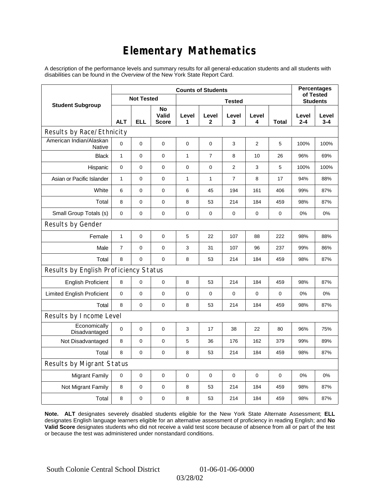## **Elementary Mathematics**

A description of the performance levels and summary results for all general-education students and all students with disabilities can be found in the *Overview* of the New York State Report Card.

|                                       | <b>Counts of Students</b> |                   |                             |              |                |                |             |                 | <b>Percentages</b><br>of Tested |                  |
|---------------------------------------|---------------------------|-------------------|-----------------------------|--------------|----------------|----------------|-------------|-----------------|---------------------------------|------------------|
| <b>Student Subgroup</b>               |                           | <b>Not Tested</b> |                             |              |                |                |             | <b>Students</b> |                                 |                  |
|                                       | <b>ALT</b>                | <b>ELL</b>        | No<br>Valid<br><b>Score</b> | Level<br>1   | Level<br>2     | Level<br>3     | Level<br>4  | Total           | Level<br>2-4                    | Level<br>$3 - 4$ |
| Results by Race/Ethnicity             |                           |                   |                             |              |                |                |             |                 |                                 |                  |
| American Indian/Alaskan<br>Native     | 0                         | $\mathbf 0$       | $\mathbf 0$                 | $\mathbf 0$  | $\mathbf 0$    | 3              | 2           | 5               | 100%                            | 100%             |
| <b>Black</b>                          | $\mathbf{1}$              | 0                 | 0                           | $\mathbf{1}$ | $\overline{7}$ | 8              | 10          | 26              | 96%                             | 69%              |
| Hispanic                              | 0                         | $\mathbf 0$       | 0                           | 0            | $\mathbf 0$    | 2              | 3           | 5               | 100%                            | 100%             |
| Asian or Pacific Islander             | $\mathbf{1}$              | $\mathbf 0$       | 0                           | $\mathbf{1}$ | $\mathbf{1}$   | $\overline{7}$ | 8           | 17              | 94%                             | 88%              |
| White                                 | 6                         | 0                 | $\pmb{0}$                   | 6            | 45             | 194            | 161         | 406             | 99%                             | 87%              |
| Total                                 | 8                         | $\mathbf 0$       | $\pmb{0}$                   | 8            | 53             | 214            | 184         | 459             | 98%                             | 87%              |
| Small Group Totals (s)                | 0                         | 0                 | 0                           | 0            | 0              | 0              | 0           | 0               | 0%                              | 0%               |
| Results by Gender                     |                           |                   |                             |              |                |                |             |                 |                                 |                  |
| Female                                | $\mathbf{1}$              | 0                 | $\pmb{0}$                   | 5            | 22             | 107            | 88          | 222             | 98%                             | 88%              |
| Male                                  | $\overline{7}$            | 0                 | $\pmb{0}$                   | 3            | 31             | 107            | 96          | 237             | 99%                             | 86%              |
| Total                                 | 8                         | 0                 | 0                           | 8            | 53             | 214            | 184         | 459             | 98%                             | 87%              |
| Results by English Proficiency Status |                           |                   |                             |              |                |                |             |                 |                                 |                  |
| <b>English Proficient</b>             | 8                         | 0                 | $\pmb{0}$                   | 8            | 53             | 214            | 184         | 459             | 98%                             | 87%              |
| <b>Limited English Proficient</b>     | 0                         | 0                 | $\pmb{0}$                   | $\pmb{0}$    | 0              | 0              | 0           | 0               | 0%                              | 0%               |
| Total                                 | 8                         | $\pmb{0}$         | $\pmb{0}$                   | 8            | 53             | 214            | 184         | 459             | 98%                             | 87%              |
| Results by Income Level               |                           |                   |                             |              |                |                |             |                 |                                 |                  |
| Economically<br>Disadvantaged         | 0                         | 0                 | $\mathbf 0$                 | 3            | 17             | 38             | 22          | 80              | 96%                             | 75%              |
| Not Disadvantaged                     | 8                         | 0                 | $\mathbf 0$                 | 5            | 36             | 176            | 162         | 379             | 99%                             | 89%              |
| Total                                 | 8                         | $\mathbf 0$       | $\pmb{0}$                   | 8            | 53             | 214            | 184         | 459             | 98%                             | 87%              |
| Results by Migrant Status             |                           |                   |                             |              |                |                |             |                 |                                 |                  |
| <b>Migrant Family</b>                 | 0                         | 0                 | 0                           | 0            | 0              | 0              | $\mathbf 0$ | 0               | 0%                              | 0%               |
| Not Migrant Family                    | 8                         | 0                 | 0                           | 8            | 53             | 214            | 184         | 459             | 98%                             | 87%              |
| Total                                 | 8                         | 0                 | 0                           | 8            | 53             | 214            | 184         | 459             | 98%                             | 87%              |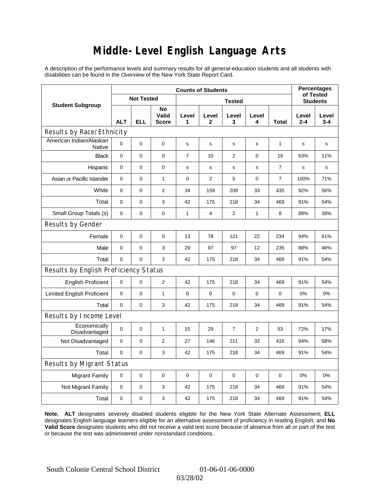## **Middle-Level English Language Arts**

A description of the performance levels and summary results for all general-education students and all students with disabilities can be found in the *Overview* of the New York State Report Card.

|                                          | <b>Counts of Students</b> |                   |                             |                |                |                |                |                 | <b>Percentages</b><br>of Tested |              |
|------------------------------------------|---------------------------|-------------------|-----------------------------|----------------|----------------|----------------|----------------|-----------------|---------------------------------|--------------|
| <b>Student Subgroup</b>                  |                           | <b>Not Tested</b> |                             |                |                |                |                | <b>Students</b> |                                 |              |
|                                          | <b>ALT</b>                | <b>ELL</b>        | No<br>Valid<br><b>Score</b> | Level<br>1     | Level<br>2     | Level<br>3     | Level<br>4     | Total           | Level<br>$2 - 4$                | Level<br>3-4 |
| Results by Race/Ethnicity                |                           |                   |                             |                |                |                |                |                 |                                 |              |
| American Indian/Alaskan<br><b>Native</b> | $\mathbf 0$               | 0                 | $\pmb{0}$                   | s              | s              | s              | s              | $\mathbf{1}$    | s                               | s            |
| <b>Black</b>                             | 0                         | 0                 | $\pmb{0}$                   | $\overline{7}$ | 10             | $\overline{2}$ | $\mathbf 0$    | 19              | 63%                             | 11%          |
| Hispanic                                 | 0                         | 0                 | 0                           | s              | $\mathbf s$    | $\mathbf s$    | s              | $\overline{7}$  | $\mathbf s$                     | s            |
| Asian or Pacific Islander                | 0                         | 0                 | $\mathbf{1}$                | $\mathbf 0$    | $\overline{2}$ | 5              | $\mathbf 0$    | $\overline{7}$  | 100%                            | 71%          |
| White                                    | 0                         | 0                 | 2                           | 34             | 159            | 209            | 33             | 435             | 92%                             | 56%          |
| Total                                    | 0                         | $\pmb{0}$         | 3                           | 42             | 175            | 218            | 34             | 469             | 91%                             | 54%          |
| Small Group Totals (s)                   | 0                         | 0                 | $\mathbf 0$                 | $\mathbf{1}$   | 4              | 2              | 1              | 8               | 88%                             | 38%          |
| Results by Gender                        |                           |                   |                             |                |                |                |                |                 |                                 |              |
| Female                                   | 0                         | 0                 | $\mathbf 0$                 | 13             | 78             | 121            | 22             | 234             | 94%                             | 61%          |
| Male                                     | $\mathbf 0$               | 0                 | 3                           | 29             | 97             | 97             | 12             | 235             | 88%                             | 46%          |
| Total                                    | 0                         | 0                 | 3                           | 42             | 175            | 218            | 34             | 469             | 91%                             | 54%          |
| Results by English Proficiency Status    |                           |                   |                             |                |                |                |                |                 |                                 |              |
| <b>English Proficient</b>                | 0                         | 0                 | $\overline{2}$              | 42             | 175            | 218            | 34             | 469             | 91%                             | 54%          |
| <b>Limited English Proficient</b>        | 0                         | 0                 | $\mathbf{1}$                | $\pmb{0}$      | $\mathbf 0$    | 0              | 0              | 0               | 0%                              | 0%           |
| Total                                    | $\mathbf 0$               | 0                 | 3                           | 42             | 175            | 218            | 34             | 469             | 91%                             | 54%          |
| Results by Income Level                  |                           |                   |                             |                |                |                |                |                 |                                 |              |
| Economically<br>Disadvantaged            | $\mathbf 0$               | 0                 | 1                           | 15             | 29             | 7              | $\overline{2}$ | 53              | 72%                             | 17%          |
| Not Disadvantaged                        | $\mathbf 0$               | 0                 | $\overline{2}$              | 27             | 146            | 211            | 32             | 416             | 94%                             | 58%          |
| Total                                    | 0                         | $\pmb{0}$         | 3                           | 42             | 175            | 218            | 34             | 469             | 91%                             | 54%          |
| Results by Migrant Status                |                           |                   |                             |                |                |                |                |                 |                                 |              |
| <b>Migrant Family</b>                    | 0                         | 0                 | $\mathbf 0$                 | 0              | $\mathbf 0$    | $\mathbf 0$    | 0              | 0               | 0%                              | 0%           |
| Not Migrant Family                       | 0                         | $\pmb{0}$         | 3                           | 42             | 175            | 218            | 34             | 469             | 91%                             | 54%          |
| Total                                    | 0                         | 0                 | 3                           | 42             | 175            | 218            | 34             | 469             | 91%                             | 54%          |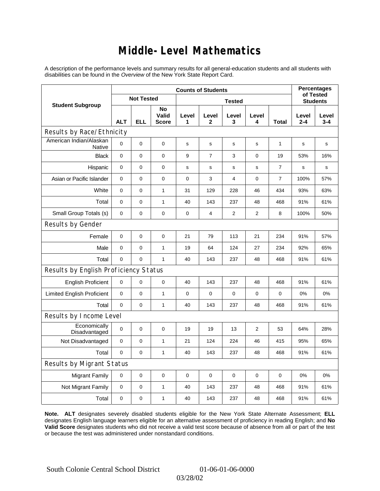### **Middle-Level Mathematics**

A description of the performance levels and summary results for all general-education students and all students with disabilities can be found in the *Overview* of the New York State Report Card.

|                                       | <b>Counts of Students</b> |                   |                             |             |                       |                 |                |                |                  | <b>Percentages</b><br>of Tested |  |
|---------------------------------------|---------------------------|-------------------|-----------------------------|-------------|-----------------------|-----------------|----------------|----------------|------------------|---------------------------------|--|
| <b>Student Subgroup</b>               |                           | <b>Not Tested</b> |                             |             |                       | <b>Students</b> |                |                |                  |                                 |  |
|                                       | <b>ALT</b>                | <b>ELL</b>        | No<br>Valid<br><b>Score</b> | Level<br>1  | Level<br>$\mathbf{2}$ | Level<br>3      | Level<br>4     | Total          | Level<br>$2 - 4$ | Level<br>$3 - 4$                |  |
| Results by Race/Ethnicity             |                           |                   |                             |             |                       |                 |                |                |                  |                                 |  |
| American Indian/Alaskan<br>Native     | $\mathbf 0$               | 0                 | $\mathbf 0$                 | s           | s                     | s               | s              | 1              | s                | s                               |  |
| <b>Black</b>                          | 0                         | 0                 | 0                           | 9           | $\overline{7}$        | 3               | 0              | 19             | 53%              | 16%                             |  |
| Hispanic                              | 0                         | 0                 | $\pmb{0}$                   | s           | s                     | S               | s              | $\overline{7}$ | s                | s                               |  |
| Asian or Pacific Islander             | $\mathbf 0$               | 0                 | $\mathbf 0$                 | 0           | 3                     | 4               | 0              | $\overline{7}$ | 100%             | 57%                             |  |
| White                                 | $\pmb{0}$                 | 0                 | $\mathbf{1}$                | 31          | 129                   | 228             | 46             | 434            | 93%              | 63%                             |  |
| Total                                 | $\mathbf 0$               | 0                 | $\mathbf{1}$                | 40          | 143                   | 237             | 48             | 468            | 91%              | 61%                             |  |
| Small Group Totals (s)                | $\mathbf 0$               | 0                 | $\mathbf 0$                 | 0           | 4                     | $\overline{2}$  | $\overline{2}$ | 8              | 100%             | 50%                             |  |
| Results by Gender                     |                           |                   |                             |             |                       |                 |                |                |                  |                                 |  |
| Female                                | $\mathbf 0$               | 0                 | 0                           | 21          | 79                    | 113             | 21             | 234            | 91%              | 57%                             |  |
| Male                                  | 0                         | 0                 | $\mathbf{1}$                | 19          | 64                    | 124             | 27             | 234            | 92%              | 65%                             |  |
| Total                                 | $\mathbf 0$               | 0                 | $\mathbf{1}$                | 40          | 143                   | 237             | 48             | 468            | 91%              | 61%                             |  |
| Results by English Proficiency Status |                           |                   |                             |             |                       |                 |                |                |                  |                                 |  |
| <b>English Proficient</b>             | $\mathbf 0$               | 0                 | $\pmb{0}$                   | 40          | 143                   | 237             | 48             | 468            | 91%              | 61%                             |  |
| <b>Limited English Proficient</b>     | 0                         | 0                 | $\mathbf{1}$                | $\mathbf 0$ | $\mathbf 0$           | $\mathbf 0$     | 0              | 0              | 0%               | 0%                              |  |
| Total                                 | $\mathbf 0$               | 0                 | 1                           | 40          | 143                   | 237             | 48             | 468            | 91%              | 61%                             |  |
| Results by Income Level               |                           |                   |                             |             |                       |                 |                |                |                  |                                 |  |
| Economically<br>Disadvantaged         | $\pmb{0}$                 | 0                 | $\mathbf 0$                 | 19          | 19                    | 13              | 2              | 53             | 64%              | 28%                             |  |
| Not Disadvantaged                     | 0                         | 0                 | $\mathbf{1}$                | 21          | 124                   | 224             | 46             | 415            | 95%              | 65%                             |  |
| Total                                 | $\mathbf 0$               | 0                 | 1                           | 40          | 143                   | 237             | 48             | 468            | 91%              | 61%                             |  |
| Results by Migrant Status             |                           |                   |                             |             |                       |                 |                |                |                  |                                 |  |
| <b>Migrant Family</b>                 | $\mathbf 0$               | 0                 | $\pmb{0}$                   | $\pmb{0}$   | $\mathbf 0$           | $\mathbf 0$     | 0              | 0              | 0%               | 0%                              |  |
| Not Migrant Family                    | $\pmb{0}$                 | 0                 | $\mathbf{1}$                | 40          | 143                   | 237             | 48             | 468            | 91%              | 61%                             |  |
| Total                                 | $\mathbf 0$               | 0                 | 1                           | 40          | 143                   | 237             | 48             | 468            | 91%              | 61%                             |  |